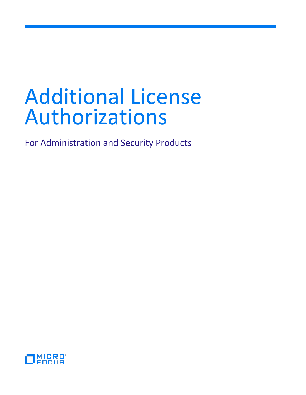# Additional License Authorizations

For Administration and Security Products

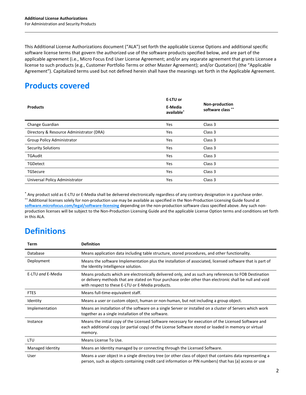This Additional License Authorizations document ("ALA") set forth the applicable License Options and additional specific software license terms that govern the authorized use of the software products specified below, and are part of the applicable agreement (i.e., Micro Focus End User License Agreement; and/or any separate agreement that grants Licensee a license to such products (e.g., Customer Portfolio Terms or other Master Agreement); and/or Quotation) (the "Applicable Agreement"). Capitalized terms used but not defined herein shall have the meanings set forth in the Applicable Agreement.

# **Products covered**

| <b>Products</b>                          | E-LTU or<br>E-Media<br>available* | Non-production<br>software class ** |
|------------------------------------------|-----------------------------------|-------------------------------------|
| Change Guardian                          | Yes                               | Class 3                             |
| Directory & Resource Administrator (DRA) | Yes                               | Class 3                             |
| <b>Group Policy Administrator</b>        | Yes                               | Class 3                             |
| <b>Security Solutions</b>                | Yes                               | Class 3                             |
| <b>TGAudit</b>                           | Yes                               | Class 3                             |
| <b>TGDetect</b>                          | Yes                               | Class 3                             |
| <b>TGSecure</b>                          | Yes                               | Class 3                             |
| Universal Policy Administrator           | Yes                               | Class 3                             |

\* Any product sold as E-LTU or E-Media shall be delivered electronically regardless of any contrary designation in a purchase order. \*\* Additional licenses solely for non-production use may be available as specified in the Non-Production Licensing Guide found at **[software.microfocus.com/legal/software-licensing](http://software.microfocus.com/legal/software-licensing)** depending on the non-production software class specified above. Any such nonproduction licenses will be subject to the Non-Production Licensing Guide and the applicable License Option terms and conditions set forth in this ALA.

# **Definitions**

| Term              | <b>Definition</b>                                                                                                                                                                                                                                                    |
|-------------------|----------------------------------------------------------------------------------------------------------------------------------------------------------------------------------------------------------------------------------------------------------------------|
| Database          | Means application data including table structure, stored procedures, and other functionality.                                                                                                                                                                        |
| Deployment        | Means the software Implementation plus the installation of associated, licensed software that is part of<br>the Identity Intelligence solution.                                                                                                                      |
| E-LTU and E-Media | Means products which are electronically delivered only, and as such any references to FOB Destination<br>or delivery methods that are stated on Your purchase order other than electronic shall be null and void<br>with respect to these E-LTU or E-Media products. |
| <b>FTES</b>       | Means full-time-equivalent staff.                                                                                                                                                                                                                                    |
| Identity          | Means a user or custom object, human or non-human, but not including a group object.                                                                                                                                                                                 |
| Implementation    | Means an installation of the software on a single Server or installed on a cluster of Servers which work<br>together as a single installation of the software.                                                                                                       |
| Instance          | Means the initial copy of the Licensed Software necessary for execution of the Licensed Software and<br>each additional copy (or partial copy) of the License Software stored or loaded in memory or virtual<br>memory.                                              |
| LTU               | Means License To Use.                                                                                                                                                                                                                                                |
| Managed Identity  | Means an Identity managed by or connecting through the Licensed Software.                                                                                                                                                                                            |
| User              | Means a user object in a single directory tree (or other class of object that contains data representing a<br>person, such as objects containing credit card information or PIN numbers) that has (a) access or use                                                  |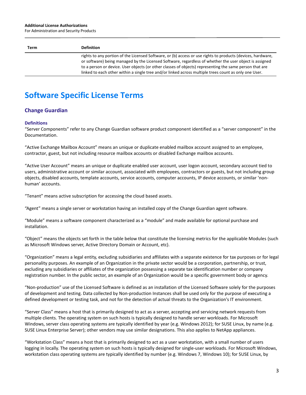#### **Additional License Authorizations**

For Administration and Security Products

| Term | <b>Definition</b>                                                                                                                                                                                                                                                                                                                                                                                                                         |
|------|-------------------------------------------------------------------------------------------------------------------------------------------------------------------------------------------------------------------------------------------------------------------------------------------------------------------------------------------------------------------------------------------------------------------------------------------|
|      | rights to any portion of the Licensed Software, or (b) access or use rights to products (devices, hardware,<br>or software) being managed by the Licensed Software, regardless of whether the user object is assigned<br>to a person or device. User objects (or other classes of objects) representing the same person that are<br>linked to each other within a single tree and/or linked across multiple trees count as only one User. |

# **Software Specific License Terms**

## **Change Guardian**

#### **Definitions**

"Server Components" refer to any Change Guardian software product component identified as a "server component" in the Documentation.

"Active Exchange Mailbox Account" means an unique or duplicate enabled mailbox account assigned to an employee, contractor, guest, but not including resource mailbox accounts or disabled Exchange mailbox accounts.

"Active User Account" means an unique or duplicate enabled user account, user logon account, secondary account tied to users, administrative account or similar account, associated with employees, contractors or guests, but not including group objects, disabled accounts, template accounts, service accounts, computer accounts, IP device accounts, or similar 'nonhuman' accounts.

"Tenant" means active subscription for accessing the cloud based assets.

"Agent" means a single server or workstation having an installed copy of the Change Guardian agent software.

"Module" means a software component characterized as a "module" and made available for optional purchase and installation.

"Object" means the objects set forth in the table below that constitute the licensing metrics for the applicable Modules (such as Microsoft Windows server, Active Directory Domain or Account, etc).

"Organization" means a legal entity, excluding subsidiaries and affiliates with a separate existence for tax purposes or for legal personality purposes. An example of an Organization in the private sector would be a corporation, partnership, or trust, excluding any subsidiaries or affiliates of the organization possessing a separate tax identification number or company registration number. In the public sector, an example of an Organization would be a specific government body or agency.

"Non-production" use of the Licensed Software is defined as an installation of the Licensed Software solely for the purposes of development and testing. Data collected by Non-production Instances shall be used only for the purpose of executing a defined development or testing task, and not for the detection of actual threats to the Organization's IT environment.

"Server Class" means a host that is primarily designed to act as a server, accepting and servicing network requests from multiple clients. The operating system on such hosts is typically designed to handle server workloads. For Microsoft Windows, server class operating systems are typically identified by year (e.g. Windows 2012); for SUSE Linux, by name (e.g. SUSE Linux Enterprise Server); other vendors may use similar designations. This also applies to NetApp appliances.

"Workstation Class" means a host that is primarily designed to act as a user workstation, with a small number of users logging in locally. The operating system on such hosts is typically designed for single-user workloads. For Microsoft Windows, workstation class operating systems are typically identified by number (e.g. Windows 7, Windows 10); for SUSE Linux, by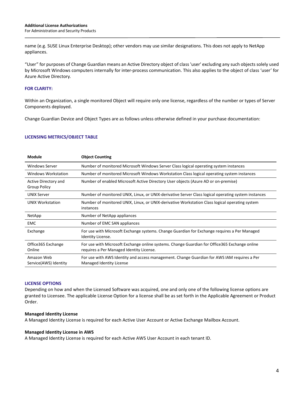name (e.g. SUSE Linux Enterprise Desktop); other vendors may use similar designations. This does not apply to NetApp appliances.

"User" for purposes of Change Guardian means an Active Directory object of class 'user' excluding any such objects solely used by Microsoft Windows computers internally for inter-process communication. This also applies to the object of class 'user' for Azure Active Directory.

#### **FOR CLARITY:**

Within an Organization, a single monitored Object will require only one license, regardless of the number or types of Server Components deployed.

Change Guardian Device and Object Types are as follows unless otherwise defined in your purchase documentation:

#### **LICENSING METRICS/OBJECT TABLE**

| Module                                      | <b>Object Counting</b>                                                                                                                     |
|---------------------------------------------|--------------------------------------------------------------------------------------------------------------------------------------------|
| Windows Server                              | Number of monitored Microsoft Windows Server Class logical operating system instances                                                      |
| Windows Workstation                         | Number of monitored Microsoft Windows Workstation Class logical operating system instances                                                 |
| Active Directory and<br><b>Group Policy</b> | Number of enabled Microsoft Active Directory User objects (Azure AD or on-premise)                                                         |
| <b>UNIX Server</b>                          | Number of monitored UNIX, Linux, or UNIX-derivative Server Class logical operating system instances                                        |
| <b>UNIX Workstation</b>                     | Number of monitored UNIX, Linux, or UNIX-derivative Workstation Class logical operating system<br>instances                                |
| NetApp                                      | Number of NetApp appliances                                                                                                                |
| <b>EMC</b>                                  | Number of EMC SAN appliances                                                                                                               |
| Exchange                                    | For use with Microsoft Exchange systems. Change Guardian for Exchange requires a Per Managed<br>Identity License.                          |
| Office 365 Exchange<br>Online               | For use with Microsoft Exchange online systems. Change Guardian for Office 365 Exchange online<br>requires a Per Managed Identity License. |
| Amazon Web<br>Service(AWS) Identity         | For use with AWS Identity and access management. Change Guardian for AWS IAM requires a Per<br>Managed Identity License                    |

#### **LICENSE OPTIONS**

Depending on how and when the Licensed Software was acquired, one and only one of the following license options are granted to Licensee. The applicable License Option for a license shall be as set forth in the Applicable Agreement or Product Order.

#### **Managed Identity License**

A Managed Identity License is required for each Active User Account or Active Exchange Mailbox Account.

#### **Managed Identity License in AWS**

A Managed Identity License is required for each Active AWS User Account in each tenant ID.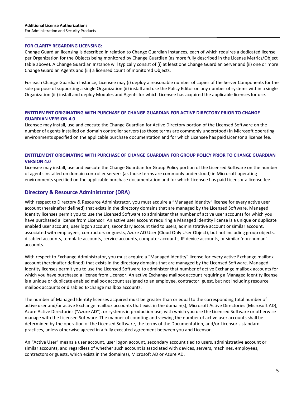#### **FOR CLARITY REGARDING LICENSING:**

Change Guardian licensing is described in relation to Change Guardian Instances, each of which requires a dedicated license per Organization for the Objects being monitored by Change Guardian (as more fully described in the License Metrics/Object table above). A Change Guardian Instance will typically consist of (i) at least one Change Guardian Server and (ii) one or more Change Guardian Agents and (iii) a licensed count of monitored Objects.

For each Change Guardian Instance, Licensee may (i) deploy a reasonable number of copies of the Server Components for the sole purpose of supporting a single Organization (ii) install and use the Policy Editor on any number of systems within a single Organization (iii) install and deploy Modules and Agents for which Licensee has acquired the applicable licenses for use.

#### **ENTITLEMENT ORIGINATING WITH PURCHASE OF CHANGE GUARDIAN FOR ACTIVE DIRECTORY PRIOR TO CHANGE GUARDIAN VERSION 4.0**

Licensee may install, use and execute the Change Guardian for Active Directory portion of the Licensed Software on the number of agents installed on domain controller servers (as those terms are commonly understood) in Microsoft operating environments specified on the applicable purchase documentation and for which Licensee has paid Licensor a license fee.

#### **ENTITLEMENT ORIGINATING WITH PURCHASE OF CHANGE GUARDIAN FOR GROUP POLICY PRIOR TO CHANGE GUARDIAN VERSION 4.0**

Licensee may install, use and execute the Change Guardian for Group Policy portion of the Licensed Software on the number of agents installed on domain controller servers (as those terms are commonly understood) in Microsoft operating environments specified on the applicable purchase documentation and for which Licensee has paid Licensor a license fee.

## **Directory & Resource Administrator (DRA)**

With respect to Directory & Resource Administrator, you must acquire a "Managed Identity" license for every active user account (hereinafter defined) that exists in the directory domains that are managed by the Licensed Software. Managed Identity licenses permit you to use the Licensed Software to administer that number of active user accounts for which you have purchased a license from Licensor. An active user account requiring a Managed Identity license is a unique or duplicate enabled user account, user logon account, secondary account tied to users, administrative account or similar account, associated with employees, contractors or guests, Azure AD User (Cloud Only User Object), but not including group objects, disabled accounts, template accounts, service accounts, computer accounts, IP device accounts, or similar 'non-human' accounts.

With respect to Exchange Administrator, you must acquire a "Managed Identity" license for every active Exchange mailbox account (hereinafter defined) that exists in the directory domains that are managed by the Licensed Software. Managed Identity licenses permit you to use the Licensed Software to administer that number of active Exchange mailbox accounts for which you have purchased a license from Licensor. An active Exchange mailbox account requiring a Managed Identity license is a unique or duplicate enabled mailbox account assigned to an employee, contractor, guest, but not including resource mailbox accounts or disabled Exchange mailbox accounts.

The number of Managed Identity licenses acquired must be greater than or equal to the corresponding total number of active user and/or active Exchange mailbox accounts that exist in the domain(s), Microsoft Active Directories (Microsoft AD), Azure Active Directories ("Azure AD"), or systems in production use, with which you use the Licensed Software or otherwise manage with the Licensed Software. The manner of counting and viewing the number of active user accounts shall be determined by the operation of the Licensed Software, the terms of the Documentation, and/or Licensor's standard practices, unless otherwise agreed in a fully executed agreement between you and Licensor.

An "Active User" means a user account, user logon account, secondary account tied to users, administrative account or similar accounts, and regardless of whether such account is associated with devices, servers, machines, employees, contractors or guests, which exists in the domain(s), Microsoft AD or Azure AD.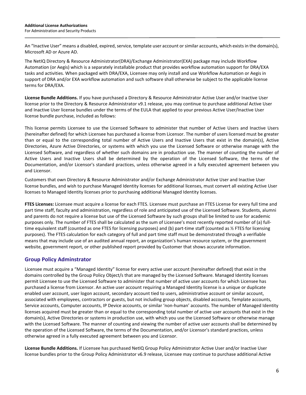An "Inactive User" means a disabled, expired, service, template user account or similar accounts, which exists in the domain(s), Microsoft AD or Azure AD.

The NetIQ Directory & Resource Administrator(DRA)/Exchange Administrator(EXA) package may include Workflow Automation (or Aegis) which is a separately installable product that provides workflow automation support for DRA/EXA tasks and activities. When packaged with DRA/EXA, Licensee may only install and use Workflow Automation or Aegis in support of DRA and/or EXA workflow automation and such software shall otherwise be subject to the applicable license terms for DRA/EXA.

**License Bundle Additions.** If you have purchased a Directory & Resource Administrator Active User and/or Inactive User license prior to the Directory & Resource Administrator v9.1 release, you may continue to purchase additional Active User and Inactive User license bundles under the terms of the EULA that applied to your previous Active User/Inactive User license bundle purchase, included as follows:

This license permits Licensee to use the Licensed Software to administer that number of Active Users and Inactive Users (hereinafter defined) for which Licensee has purchased a license from Licensor. The number of users licensed must be greater than or equal to the corresponding total number of Active Users and Inactive Users that exist in the domain(s), Active Directories, Azure Active Directories, or systems with which you use the Licensed Software or otherwise manage with the Licensed Software, and regardless of whether such domains are in production use. The manner of counting the number of Active Users and Inactive Users shall be determined by the operation of the Licensed Software, the terms of the Documentation, and/or Licensor's standard practices, unless otherwise agreed in a fully executed agreement between you and Licensor.

Customers that own Directory & Resource Administrator and/or Exchange Administrator Active User and Inactive User license bundles, and wish to purchase Managed Identity licenses for additional licenses, must convert all existing Active User licenses to Managed Identity licenses prior to purchasing additional Managed Identity licenses.

**FTES Licenses:** Licensee must acquire a license for each FTES. Licensee must purchase an FTES License for every full time and part time staff, faculty and administration, regardless of role and anticipated use of the Licensed Software. Students, alumni and parents do not require a license but use of the Licensed Software by such groups shall be limited to use for academic purposes only. The number of FTES shall be calculated as the sum of Licensee's most recently reported number of (a) fulltime equivalent staff (counted as one FTES for licensing purposes) and (b) part-time staff (counted as ½ FTES for licensing purposes). The FTES calculation for each category of full and part time staff must be demonstrated through a verifiable means that may include use of an audited annual report, an organization's human resource system, or the government website, government report, or other published report provided by Customer that shows accurate information.

# **Group Policy Adminstrator**

Licensee must acquire a "Managed Identity" license for every active user account (hereinafter defined) that exist in the domains controlled by the Group Policy Object/s that are managed by the Licensed Software. Managed Identity licenses permit Licensee to use the Licensed Software to administer that number of active user accounts for which Licensee has purchased a license from Licensor. An active user account requiring a Managed Identity license is a unique or duplicate enabled user account, user logon account, secondary account tied to users, administrative account or similar account, associated with employees, contractors or guests, but not including group objects, disabled accounts, Template accounts, Service accounts, Computer accounts, IP Device accounts, or similar 'non-human' accounts. The number of Managed Identity licenses acquired must be greater than or equal to the corresponding total number of active user accounts that exist in the domain(s), Active Directories or systems in production use, with which you use the Licensed Software or otherwise manage with the Licensed Software. The manner of counting and viewing the number of active user accounts shall be determined by the operation of the Licensed Software, the terms of the Documentation, and/or Licensor's standard practices, unless otherwise agreed in a fully executed agreement between you and Licensor.

**License Bundle Additions.** If Licensee has purchased NetIQ Group Policy Administrator Active User and/or Inactive User license bundles prior to the Group Policy Administrator v6.9 release, Licensee may continue to purchase additional Active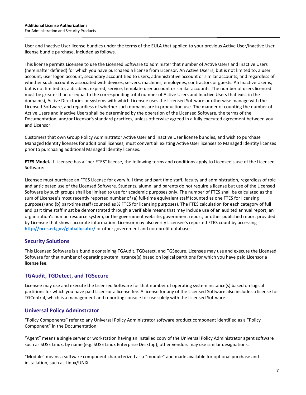User and Inactive User license bundles under the terms of the EULA that applied to your previous Active User/Inactive User license bundle purchase, included as follows.

This license permits Licensee to use the Licensed Software to administer that number of Active Users and Inactive Users (hereinafter defined) for which you have purchased a license from Licensor. An Active User is, but is not limited to, a user account, user logon account, secondary account tied to users, administrative account or similar accounts, and regardless of whether such account is associated with devices, servers, machines, employees, contractors or guests. An Inactive User is, but is not limited to, a disabled, expired, service, template user account or similar accounts. The number of users licensed must be greater than or equal to the corresponding total number of Active Users and Inactive Users that exist in the domain(s), Active Directories or systems with which Licensee uses the Licensed Software or otherwise manage with the Licensed Software, and regardless of whether such domains are in production use. The manner of counting the number of Active Users and Inactive Users shall be determined by the operation of the Licensed Software, the terms of the Documentation, and/or Licensor's standard practices, unless otherwise agreed in a fully executed agreement between you and Licensor.

Customers that own Group Policy Administrator Active User and Inactive User license bundles, and wish to purchase Managed Identity licenses for additional licenses, must convert all existing Active User licenses to Managed Identity licenses prior to purchasing additional Managed Identity licenses.

**FTES Model.** If Licensee has a "per FTES" license, the following terms and conditions apply to Licensee's use of the Licensed Software:

Licensee must purchase an FTES License for every full time and part time staff, faculty and administration, regardless of role and anticipated use of the Licensed Software. Students, alumni and parents do not require a license but use of the Licensed Software by such groups shall be limited to use for academic purposes only. The number of FTES shall be calculated as the sum of Licensee's most recently reported number of (a) full-time equivalent staff (counted as one FTES for licensing purposes) and (b) part-time staff (counted as ½ FTES for licensing purposes). The FTES calculation for each category of full and part time staff must be demonstrated through a verifiable means that may include use of an audited annual report, an organization's human resource system, or the government website, government report, or other published report provided by Licensee that shows accurate information. Licensor may also verify Licensee's reported FTES count by accessing **<http://nces.ed.gov/globallocator/>** or other government and non-profit databases.

# **Security Solutions**

This Licensed Software is a bundle containing TGAudit, TGDetect, and TGSecure. Licensee may use and execute the Licensed Software for that number of operating system instance(s) based on logical partitions for which you have paid Licensor a license fee.

## **TGAudit, TGDetect, and TGSecure**

Licensee may use and execute the Licensed Software for that number of operating system instance(s) based on logical partitions for which you have paid Licensor a license fee. A license for any of the Licensed Software also includes a license for TGCentral, which is a management and reporting console for use solely with the Licensed Software.

## **Universal Policy Adminstrator**

"Policy Components" refer to any Universal Policy Administrator software product component identified as a "Policy Component" in the Documentation.

"Agent" means a single server or workstation having an installed copy of the Universal Policy Administrator agent software such as SUSE Linux, by name (e.g. SUSE Linux Enterprise Desktop); other vendors may use similar designations.

"Module" means a software component characterized as a "module" and made available for optional purchase and installation, such as Linux/UNIX.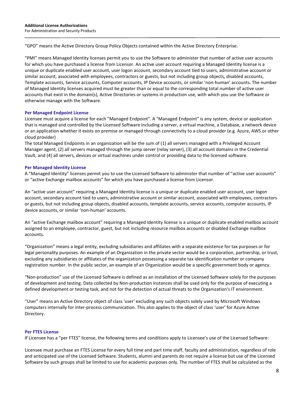"GPO" means the Active Directory Group Policy Objects contained within the Active Directory Enterprise.

"PMI" means Managed Identity licenses permit you to use the Software to administer that number of active user accounts for which you have purchased a license from Licensor. An active user account requiring a Managed Identity license is a unique or duplicate enabled user account, user logon account, secondary account tied to users, administrative account or similar account, associated with employees, contractors or guests, but not including group objects, disabled accounts, Template accounts, Service accounts, Computer accounts, IP Device accounts, or similar 'non-human' accounts. The number of Managed Identity licenses acquired must be greater than or equal to the corresponding total number of active user accounts that exist in the domain(s), Active Directories or systems in production use, with which you use the Software or otherwise manage with the Software.

#### **Per Managed Endpoint License**

Licensee must acquire a license for each "Managed Endpoint". A "Managed Endpoint" is any system, device or application that is managed and controlled by the Licensed Software including a server, a virtual machine, a Database, a network device or an application whether it exists on premise or managed through connectivity to a cloud provider (e.g. Azure, AWS or other cloud provider)

The total Managed Endpoints in an organization will be the sum of (1) all servers managed with a Privileged Account Manager agent, (2) all servers managed through the jump server (relay server), (3) all account domains in the Credential Vault, and (4) all servers, devices or virtual machines under control or providing data to the licensed software.

#### **Per Managed Identity License**

A "Managed Identity" licenses permit you to use the Licensed Software to administer that number of "active user accounts" or "active Exchange mailbox accounts" for which you have purchased a license from Licensor.

An "active user account" requiring a Managed Identity license is a unique or duplicate enabled user account, user logon account, secondary account tied to users, administrative account or similar account, associated with employees, contractors or guests, but not including group objects, disabled accounts, template accounts, service accounts, computer accounts, IP device accounts, or similar 'non-human' accounts.

An "active Exchange mailbox account" requiring a Managed Identity license is a unique or duplicate enabled mailbox account assigned to an employee, contractor, guest, but not including resource mailbox accounts or disabled Exchange mailbox accounts.

"Organization" means a legal entity, excluding subsidiaries and affiliates with a separate existence for tax purposes or for legal personality purposes. An example of an Organization in the private sector would be a corporation, partnership, or trust, excluding any subsidiaries or affiliates of the organization possessing a separate tax identification number or company registration number. In the public sector, an example of an Organization would be a specific government body or agency.

"Non-production" use of the Licensed Software is defined as an installation of the Licensed Software solely for the purposes of development and testing. Data collected by Non-production Instances shall be used only for the purpose of executing a defined development or testing task, and not for the detection of actual threats to the Organization's IT environment.

"User" means an Active Directory object of class 'user' excluding any such objects solely used by Microsoft Windows computers internally for inter-process communication. This also applies to the object of class 'user' for Azure Active Directory.

#### **Per FTES License**

If Licensee has a "per FTES" license, the following terms and conditions apply to Licensee's use of the Licensed Software:

Licensee must purchase an FTES License for every full time and part time staff, faculty and administration, regardless of role and anticipated use of the Licensed Software. Students, alumni and parents do not require a license but use of the Licensed Software by such groups shall be limited to use for academic purposes only. The number of FTES shall be calculated as the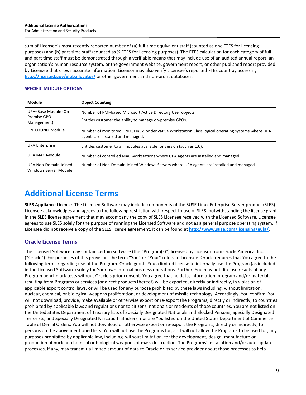sum of Licensee's most recently reported number of (a) full-time equivalent staff (counted as one FTES for licensing purposes) and (b) part-time staff (counted as ½ FTES for licensing purposes). The FTES calculation for each category of full and part time staff must be demonstrated through a verifiable means that may include use of an audited annual report, an organization's human resource system, or the government website, government report, or other published report provided by Licensee that shows accurate information. Licensor may also verify Licensee's reported FTES count by accessing **<http://nces.ed.gov/globallocator/>** or other government and non-profit databases.

### **SPECIFIC MODULE OPTIONS**

| Module                                             | <b>Object Counting</b>                                                                                                                    |
|----------------------------------------------------|-------------------------------------------------------------------------------------------------------------------------------------------|
| UPA-Base Module (On-<br>Premise GPO<br>Management) | Number of PMI-based Microsoft Active Directory User objects<br>Entitles customer the ability to manage on-premise GPOs.                   |
| LINUX/UNIX Module                                  | Number of monitored UNIX, Linux, or derivative Workstation Class logical operating systems where UPA<br>agents are installed and managed. |
| <b>UPA Enterprise</b>                              | Entitles customer to all modules available for version (such as 1.0).                                                                     |
| UPA MAC Module                                     | Number of controlled MAC workstations where UPA agents are installed and managed.                                                         |
| UPA Non-Domain Joined<br>Windows Server Module     | Number of Non-Domain Joined Windows Servers where UPA agents are installed and managed.                                                   |

# **Additional License Terms**

**SLES Appliance License**. The Licensed Software may include components of the SUSE Linux Enterprise Server product (SLES). Licensee acknowledges and agrees to the following restriction with respect to use of SLES: notwithstanding the license grant in the SLES license agreement that may accompany the copy of SLES Licensee received with the Licensed Software, Licensee agrees to use SLES solely for the purpose of running the Licensed Software and not as a general purpose operating system. If Licensee did not receive a copy of the SLES license agreement, it can be found at **<http://www.suse.com/licensing/eula/>**.

# **Oracle License Terms**

The Licensed Software may contain certain software (the "Program(s)") licensed by Licensor from Oracle America, Inc. ("Oracle"). For purposes of this provision, the term "You" or "Your" refers to Licensee. Oracle requires that You agree to the following terms regarding use of the Program. Oracle grants You a limited license to internally use the Program (as included in the Licensed Software) solely for Your own internal business operations. Further, You may not disclose results of any Program benchmark tests without Oracle's prior consent. You agree that no data, information, program and/or materials resulting from Programs or services (or direct products thereof) will be exported, directly or indirectly, in violation of applicable export control laws, or will be used for any purpose prohibited by these laws including, without limitation, nuclear, chemical, or biological weapons proliferation, or development of missile technology. Accordingly, You confirm: You will not download, provide, make available or otherwise export or re-export the Programs, directly or indirectly, to countries prohibited by applicable laws and regulations nor to citizens, nationals or residents of those countries. You are not listed on the United States Department of Treasury lists of Specially Designated Nationals and Blocked Persons, Specially Designated Terrorists, and Specially Designated Narcotic Traffickers, nor are You listed on the United States Department of Commerce Table of Denial Orders. You will not download or otherwise export or re-export the Programs, directly or indirectly, to persons on the above mentioned lists. You will not use the Programs for, and will not allow the Programs to be used for, any purposes prohibited by applicable law, including, without limitation, for the development, design, manufacture or production of nuclear, chemical or biological weapons of mass destruction. The Programs' installation and/or auto-update processes, if any, may transmit a limited amount of data to Oracle or its service provider about those processes to help